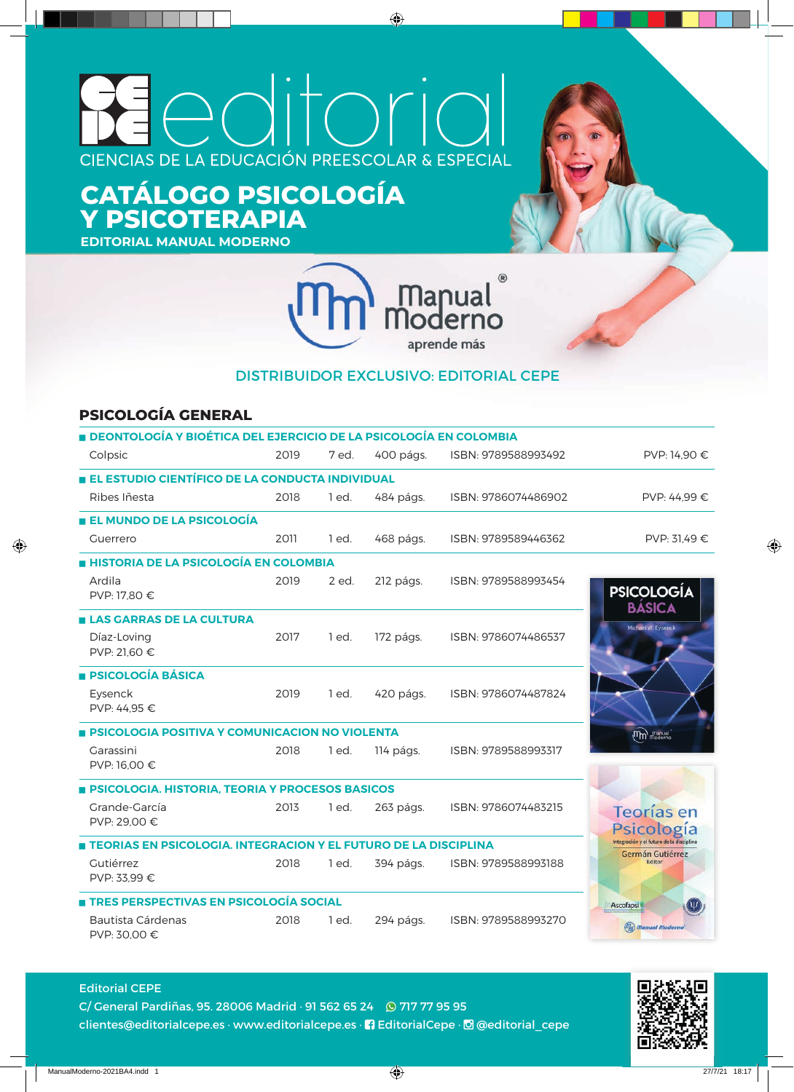# itoric  $\bigcap_{i=1}^n$ CIENCIAS DE LA EDUCACIÓN PREESCOLAR & ESPECIAL

# **CATÁLOGO PSICOLOGÍA Y PSICOTERAPIA**

**EDITORIAL MANUAL MODERNO**



#### DISTRIBUIDOR EXCLUSIVO: EDITORIAL CEPE

#### **PSICOLOGÍA GENERAL**

| <b>DEONTOLOGÍA Y BIOÉTICA DEL EJERCICIO DE LA PSICOLOGÍA EN COLOMBIA</b> |      |         |           |                     |                                                              |
|--------------------------------------------------------------------------|------|---------|-----------|---------------------|--------------------------------------------------------------|
| Colpsic                                                                  | 2019 | 7 ed.   | 400 págs. | ISBN: 9789588993492 | PVP: 14,90 €                                                 |
| EL ESTUDIO CIENTÍFICO DE LA CONDUCTA INDIVIDUAL                          |      |         |           |                     |                                                              |
| Ribes Iñesta                                                             | 2018 | 1 ed.   | 484 págs. | ISBN: 9786074486902 | PVP: 44.99 €                                                 |
| ■ EL MUNDO DE LA PSICOLOGÍA                                              |      |         |           |                     |                                                              |
| Guerrero                                                                 | 2011 | 1 ed.   | 468 págs. | ISBN: 9789589446362 | PVP: 31.49 €                                                 |
| <b>HISTORIA DE LA PSICOLOGÍA EN COLOMBIA</b>                             |      |         |           |                     |                                                              |
| Ardila<br>PVP: 17.80 €                                                   | 2019 | 2 ed.   | 212 págs. | ISBN: 9789588993454 | <b>PSICOLOGÍA</b><br><b>BÁSICA</b>                           |
| <b>ELAS GARRAS DE LA CULTURA</b>                                         |      |         |           |                     | Michael W. Eysenck                                           |
| Díaz-Loving<br>PVP: 21,60 €                                              | 2017 | $1$ ed. | 172 págs. | ISBN: 9786074486537 |                                                              |
| <b>E PSICOLOGÍA BÁSICA</b>                                               |      |         |           |                     |                                                              |
| Eysenck<br>PVP: 44,95 €                                                  | 2019 | 1 ed.   | 420 págs. | ISBN: 9786074487824 |                                                              |
| <b>E PSICOLOGIA POSITIVA Y COMUNICACION NO VIOLENTA</b>                  |      |         |           |                     | $\widehat{\mathfrak{m}}_{\text{mod-iso}}$                    |
| Garassini<br>PVP: 16,00 €                                                | 2018 | 1 ed.   | 114 págs. | ISBN: 9789588993317 |                                                              |
| <b>BICOLOGIA. HISTORIA, TEORIA Y PROCESOS BASICOS</b>                    |      |         |           |                     |                                                              |
| Grande-García<br>PVP: 29,00 €                                            | 2013 | 1 ed.   | 263 págs. | ISBN: 9786074483215 | Teorías en<br>Psicología                                     |
| TEORIAS EN PSICOLOGIA. INTEGRACION Y EL FUTURO DE LA DISCIPLINA          |      |         |           |                     | Integración y el futuro de la disciplina<br>Germán Gutiérrez |
| Gutiérrez<br>PVP: 33.99 €                                                | 2018 | 1 ed.   | 394 págs. | ISBN: 9789588993188 | Editor                                                       |
| TRES PERSPECTIVAS EN PSICOLOGÍA SOCIAL                                   |      |         |           |                     | Ascofapsi                                                    |
| Bautista Cárdenas<br>PVP: 30,00 €                                        | 2018 | 1 ed.   | 294 págs. | ISBN: 9789588993270 | $\binom{m}{m}$ <i>Manual Moderno</i>                         |



clientes@editorialcepe.es · www.editorialcepe.es · **1** EditorialCepe · *@* @editorial\_cepe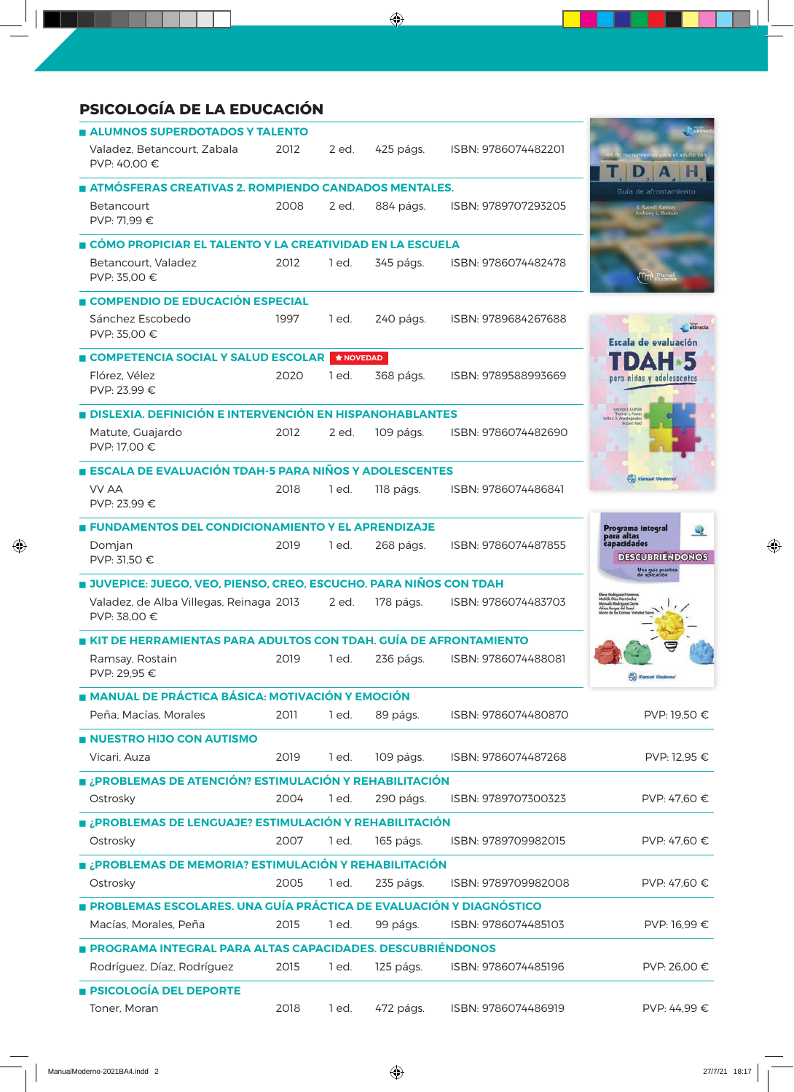| <b>PSICOLOGÍA DE LA EDUCACIÓN</b>                                  |      |                  |           |                     |                                                             |
|--------------------------------------------------------------------|------|------------------|-----------|---------------------|-------------------------------------------------------------|
| ALUMNOS SUPERDOTADOS Y TALENTO                                     |      |                  |           |                     |                                                             |
| Valadez, Betancourt, Zabala<br>PVP: 40,00 €                        | 2012 | 2 ed.            | 425 págs. | ISBN: 9786074482201 | a el adulto con<br>D                                        |
| ATMÓSFERAS CREATIVAS 2. ROMPIENDO CANDADOS MENTALES.               |      |                  |           |                     | Guía de afrontamiento                                       |
| Betancourt<br>PVP: 71,99 €                                         | 2008 | 2 ed.            | 884 págs. | ISBN: 9789707293205 | J. Russell Ramsay<br>Anthony L. Rostain                     |
| OÓMO PROPICIAR EL TALENTO Y LA CREATIVIDAD EN LA ESCUELA           |      |                  |           |                     |                                                             |
| Betancourt. Valadez<br>PVP: 35,00 €                                | 2012 | 1 ed.            | 345 págs. | ISBN: 9786074482478 | (Im)                                                        |
| COMPENDIO DE EDUCACIÓN ESPECIAL                                    |      |                  |           |                     |                                                             |
| Sánchez Escobedo<br>PVP: 35.00 €                                   | 1997 | 1 ed.            | 240 págs. | ISBN: 9789684267688 | ultimedia<br>Escala de evaluación                           |
| COMPETENCIA SOCIAL Y SALUD ESCOLAR                                 |      | <b>★ NOVEDAD</b> |           |                     | D                                                           |
| Flórez, Vélez<br>PVP: 23,99 €                                      | 2020 | 1 ed.            | 368 págs. | ISBN: 9789588993669 | para ninos y adolescentes                                   |
| <b>DISLEXIA, DEFINICIÓN E INTERVENCIÓN EN HISPANOHABLANTES</b>     |      |                  |           |                     | George J. DuPau<br>homas J. Power<br>Arthur D. Anastopoulos |
| Matute, Guajardo<br>PVP: 17,00 €                                   | 2012 | 2 ed.            | 109 págs. | ISBN: 9786074482690 |                                                             |
| ESCALA DE EVALUACIÓN TDAH-5 PARA NIÑOS Y ADOLESCENTES              |      |                  |           |                     | $\binom{n}{m}$ Manual Moder                                 |
| <b>VV AA</b><br>PVP: 23,99 €                                       | 2018 | 1 ed.            | 118 págs. | ISBN: 9786074486841 |                                                             |
| <b>E FUNDAMENTOS DEL CONDICIONAMIENTO Y EL APRENDIZAJE</b>         |      |                  |           |                     | Programa integral<br>para altas<br>$\mathbf Q$              |
| Domjan<br>PVP: 31,50 €                                             | 2019 | 1 ed.            | 268 págs. | ISBN: 9786074487855 | capacidades<br><b>DESCUBRIÉNDONOS</b><br>Una guía práctica  |
| JUVEPICE: JUEGO, VEO, PIENSO, CREO, ESCUCHO. PARA NIÑOS CON TDAH   |      |                  |           |                     |                                                             |
| Valadez, de Alba Villegas, Reinaga 2013<br>PVP: 38,00 €            |      | 2 ed.            | 178 págs. | ISBN: 9786074483703 | Apfilde Digg H<br>onuelo Rodríguez Dorto                    |
| KIT DE HERRAMIENTAS PARA ADULTOS CON TDAH. GUÍA DE AFRONTAMIENTO   |      |                  |           |                     |                                                             |
| Ramsay, Rostain<br>PVP: 29,95 €                                    | 2019 | 1 ed.            | 236 págs. | ISBN: 9786074488081 | (Tanual Moderno)                                            |
| <b>E MANUAL DE PRÁCTICA BÁSICA: MOTIVACIÓN Y EMOCIÓN</b>           |      |                  |           |                     |                                                             |
| Peña, Macías, Morales                                              | 2011 | 1 ed.            | 89 págs.  | ISBN: 9786074480870 | PVP: 19,50 €                                                |
| NUESTRO HIJO CON AUTISMO                                           |      |                  |           |                     |                                                             |
| Vicari, Auza                                                       | 2019 | 1 ed.            | 109 págs. | ISBN: 9786074487268 | PVP: 12,95 €                                                |
| <b>E ¿PROBLEMAS DE ATENCIÓN? ESTIMULACIÓN Y REHABILITACIÓN</b>     |      |                  |           |                     |                                                             |
| Ostrosky                                                           | 2004 | 1 ed.            | 290 págs. | ISBN: 9789707300323 | PVP: 47,60 €                                                |
| ■ ¿PROBLEMAS DE LENGUAJE? ESTIMULACIÓN Y REHABILITACIÓN            |      |                  |           |                     |                                                             |
| Ostrosky                                                           | 2007 | 1 ed.            | 165 págs. | ISBN: 9789709982015 | PVP: 47,60 €                                                |
| ■ ¿PROBLEMAS DE MEMORIA? ESTIMULACIÓN Y REHABILITACIÓN             |      |                  |           |                     |                                                             |
| Ostrosky                                                           | 2005 | 1 ed.            | 235 págs. | ISBN: 9789709982008 | PVP: 47,60 €                                                |
| PROBLEMAS ESCOLARES. UNA GUÍA PRÁCTICA DE EVALUACIÓN Y DIAGNÓSTICO |      |                  |           |                     |                                                             |
| Macías, Morales, Peña                                              | 2015 | 1 ed.            | 99 págs.  | ISBN: 9786074485103 | PVP: 16,99 €                                                |
| PROGRAMA INTEGRAL PARA ALTAS CAPACIDADES. DESCUBRIÉNDONOS          |      |                  |           |                     |                                                             |
| Rodríguez, Díaz, Rodríguez                                         | 2015 | 1 ed.            | 125 págs. | ISBN: 9786074485196 | PVP: 26,00 €                                                |
| <b>PSICOLOGÍA DEL DEPORTE</b>                                      |      |                  |           |                     |                                                             |
| Toner, Moran                                                       | 2018 | 1 ed.            | 472 págs. | ISBN: 9786074486919 | PVP: 44,99 €                                                |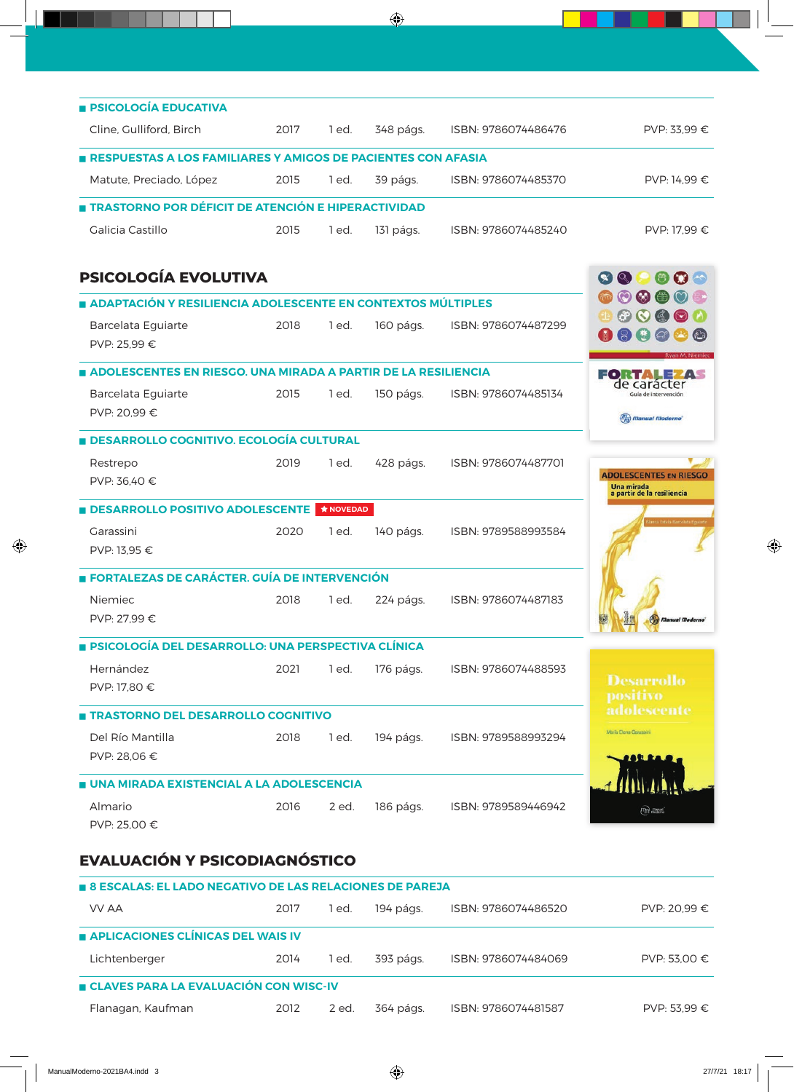| <b>PSICOLOGÍA EDUCATIVA</b>                                         |      |                 |           |                     |                                                                                          |
|---------------------------------------------------------------------|------|-----------------|-----------|---------------------|------------------------------------------------------------------------------------------|
| Cline, Gulliford, Birch                                             | 2017 | 1 ed.           | 348 págs. | ISBN: 9786074486476 | PVP: 33,99 €                                                                             |
| <b>RESPUESTAS A LOS FAMILIARES Y AMIGOS DE PACIENTES CON AFASIA</b> |      |                 |           |                     |                                                                                          |
| Matute, Preciado, López                                             | 2015 | 1 ed.           | 39 págs.  | ISBN: 9786074485370 | PVP: 14,99 €                                                                             |
| <b>TRASTORNO POR DÉFICIT DE ATENCIÓN E HIPERACTIVIDAD</b>           |      |                 |           |                     |                                                                                          |
| Galicia Castillo                                                    | 2015 | 1 ed.           | 131 págs. | ISBN: 9786074485240 | PVP: 17,99 €                                                                             |
| <b>PSICOLOGÍA EVOLUTIVA</b>                                         |      |                 |           |                     | $\left( \infty \right)$<br>$\left( \mathcal{Q}_{n}\right)$                               |
| ADAPTACIÓN Y RESILIENCIA ADOLESCENTE EN CONTEXTOS MÚLTIPLES         |      |                 |           |                     |                                                                                          |
| Barcelata Eguiarte<br>PVP: 25,99 €                                  | 2018 | 1 ed.           | 160 págs. | ISBN: 9786074487299 | $\odot$<br>$\circ$<br>$\mathfrak{G}$<br>$\boldsymbol{\Theta}$<br>$\circledS$<br>$\varpi$ |
| ADOLESCENTES EN RIESGO. UNA MIRADA A PARTIR DE LA RESILIENCIA       |      |                 |           |                     | FORTAL                                                                                   |
| Barcelata Eguiarte<br>PVP: 20,99 €                                  | 2015 | 1 ed.           | 150 págs. | ISBN: 9786074485134 | de caracter<br>Guía de intervención<br>$\sqrt{m}$ <i>Manual Moderno</i>                  |
| <b>DESARROLLO COGNITIVO. ECOLOGÍA CULTURAL</b>                      |      |                 |           |                     |                                                                                          |
| Restrepo                                                            | 2019 | 1 ed.           | 428 págs. | ISBN: 9786074487701 |                                                                                          |
| PVP: 36,40 €                                                        |      |                 |           |                     | <b>ADOLESCENTES EN RIESGO</b><br>Una mirada<br>a partir de la resiliencia                |
| <b>BIDESARROLLO POSITIVO ADOLESCENTE</b>                            |      | <b>ANOVEDAD</b> |           |                     |                                                                                          |
| Garassini<br>PVP: 13,95 €                                           | 2020 | 1 ed.           | 140 págs. | ISBN: 9789588993584 | <b>Slanca Estela Barcelata Eg</b>                                                        |
| <b>FORTALEZAS DE CARÁCTER. GUÍA DE INTERVENCIÓN</b>                 |      |                 |           |                     |                                                                                          |
| Niemiec<br>PVP: 27,99 €                                             | 2018 | 1 ed.           | 224 págs. | ISBN: 9786074487183 | <b>Manual Moderno</b>                                                                    |
| <b>BESICOLOGÍA DEL DESARROLLO: UNA PERSPECTIVA CLÍNICA</b>          |      |                 |           |                     |                                                                                          |
| Hernández<br>PVP: 17,80 €                                           | 2021 | 1 ed.           | 176 págs. | ISBN: 9786074488593 | <b>Desarrollo</b><br>positivo                                                            |
| <b>TRASTORNO DEL DESARROLLO COGNITIVO</b>                           |      |                 |           |                     | adolescente                                                                              |
| Del Río Mantilla<br>PVP: 28,06 €                                    | 2018 | 1 ed.           | 194 págs. | ISBN: 9789588993294 | María Elena Garassini                                                                    |
| UNA MIRADA EXISTENCIAL A LA ADOLESCENCIA                            |      |                 |           |                     |                                                                                          |
| Almario<br>PVP: 25,00 €                                             | 2016 | 2 ed.           | 186 págs. | ISBN: 9789589446942 |                                                                                          |

### **EVALUACIÓN Y PSICODIAGNÓSTICO**

| <b>B</b> 8 ESCALAS: EL LADO NEGATIVO DE LAS RELACIONES DE PAREJA |      |       |           |                     |              |  |  |  |
|------------------------------------------------------------------|------|-------|-----------|---------------------|--------------|--|--|--|
| VV AA                                                            | 2017 | ed.   | 194 págs. | ISBN: 9786074486520 | PVP: 20.99 € |  |  |  |
| APLICACIONES CLÍNICAS DEL WAIS IV                                |      |       |           |                     |              |  |  |  |
| Lichtenberger                                                    | 2014 | ed.   | 393 págs. | ISBN: 9786074484069 | PVP: 53.00 € |  |  |  |
| <b>E CLAVES PARA LA EVALUACIÓN CON WISC-IV</b>                   |      |       |           |                     |              |  |  |  |
| Flanagan, Kaufman                                                | 2012 | 2 ed. | 364 págs. | ISBN: 9786074481587 | PVP: 53.99 € |  |  |  |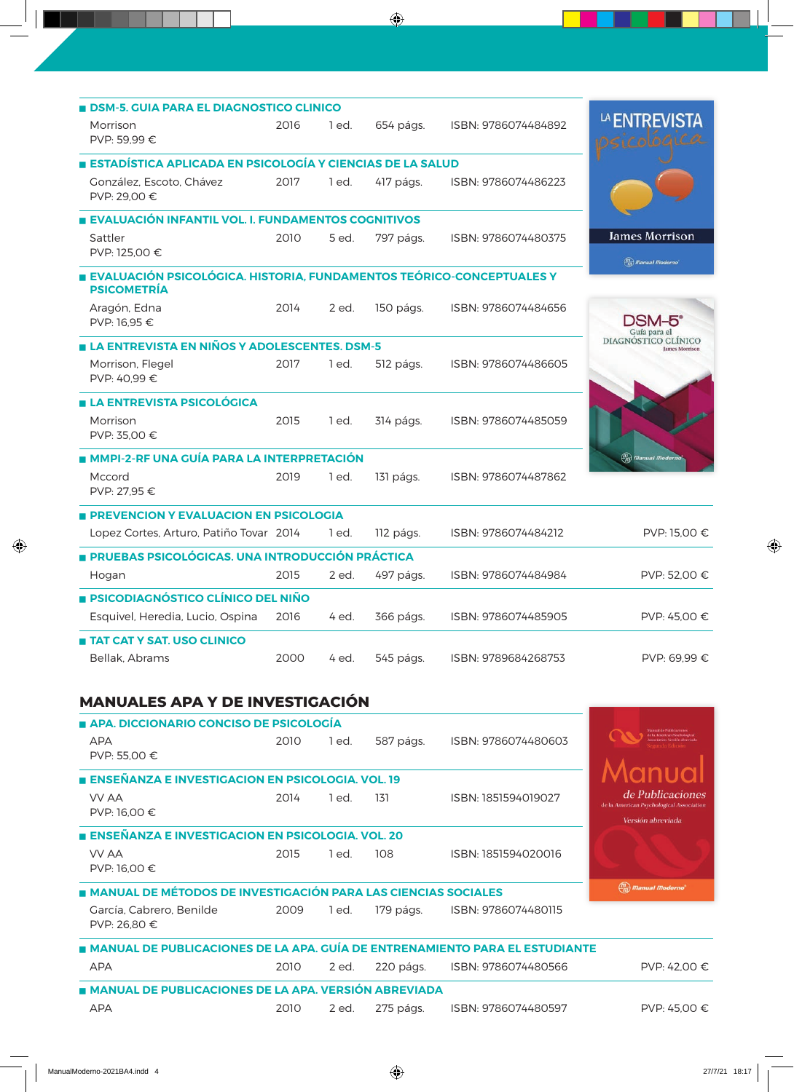| <b>BILIDISM-5. GUIA PARA EL DIAGNOSTICO CLINICO</b>                                        |      |       |           |                     |                                                        |
|--------------------------------------------------------------------------------------------|------|-------|-----------|---------------------|--------------------------------------------------------|
| Morrison<br>PVP: 59,99 €                                                                   | 2016 | 1 ed. | 654 págs. | ISBN: 9786074484892 | LA ENTREVISTA                                          |
| ESTADÍSTICA APLICADA EN PSICOLOGÍA Y CIENCIAS DE LA SALUD                                  |      |       |           |                     |                                                        |
| González, Escoto, Chávez<br>PVP: 29,00 €                                                   | 2017 | 1 ed. | 417 págs. | ISBN: 9786074486223 |                                                        |
| EVALUACIÓN INFANTIL VOL. I. FUNDAMENTOS COGNITIVOS                                         |      |       |           |                     |                                                        |
| Sattler<br>PVP: 125,00 €                                                                   | 2010 | 5 ed. | 797 págs. | ISBN: 9786074480375 | <b>James Morrison</b><br>$\binom{m}{m}$ Manual Moderno |
| EVALUACIÓN PSICOLÓGICA. HISTORIA, FUNDAMENTOS TEÓRICO-CONCEPTUALES Y<br><b>PSICOMETRÍA</b> |      |       |           |                     |                                                        |
| Aragón, Edna<br>PVP: 16,95 €                                                               | 2014 | 2 ed. | 150 págs. | ISBN: 9786074484656 | Guía para el                                           |
| LA ENTREVISTA EN NIÑOS Y ADOLESCENTES, DSM-5                                               |      |       |           |                     | DIAGNÓSTICO CLÍNICO<br>lames Morrison                  |
| Morrison, Flegel<br>PVP: 40,99 €                                                           | 2017 | 1 ed. | 512 págs. | ISBN: 9786074486605 |                                                        |
| <b>LA ENTREVISTA PSICOLÓGICA</b>                                                           |      |       |           |                     |                                                        |
| Morrison<br>PVP: 35,00 €                                                                   | 2015 | 1 ed. | 314 págs. | ISBN: 9786074485059 |                                                        |
| MMPI-2-RF UNA GUÍA PARA LA INTERPRETACIÓN                                                  |      |       |           |                     | $\binom{m}{m}$ Manual Modern                           |
| Mccord<br>PVP: 27,95 €                                                                     | 2019 | 1 ed. | 131 págs. | ISBN: 9786074487862 |                                                        |
| <b>PREVENCION Y EVALUACION EN PSICOLOGIA</b>                                               |      |       |           |                     |                                                        |
| Lopez Cortes, Arturo, Patiño Tovar 2014                                                    |      | 1 ed. | 112 págs. | ISBN: 9786074484212 | PVP: 15.00 €                                           |
| PRUEBAS PSICOLÓGICAS. UNA INTRODUCCIÓN PRÁCTICA                                            |      |       |           |                     |                                                        |
| Hogan                                                                                      | 2015 | 2 ed. | 497 págs. | ISBN: 9786074484984 | PVP: 52,00 €                                           |
| <b>E PSICODIAGNÓSTICO CLÍNICO DEL NIÑO</b>                                                 |      |       |           |                     |                                                        |
| Esquivel, Heredia, Lucio, Ospina                                                           | 2016 | 4 ed. | 366 págs. | ISBN: 9786074485905 | PVP: 45,00 €                                           |
| <b>TAT CAT Y SAT. USO CLINICO</b>                                                          |      |       |           |                     |                                                        |
| Bellak, Abrams                                                                             | 2000 | 4 ed. | 545 págs. | ISBN: 9789684268753 | PVP: 69.99 €                                           |

## **MANUALES APA Y DE INVESTIGACIÓN**

| APA, DICCIONARIO CONCISO DE PSICOLOGÍA                                      |      |       |           |                     | <b>Manual de Publicaciones</b>                               |
|-----------------------------------------------------------------------------|------|-------|-----------|---------------------|--------------------------------------------------------------|
| <b>APA</b>                                                                  | 2010 | 1 ed. | 587 págs. | ISBN: 9786074480603 | <b>In American Peorbalcus</b>                                |
| PVP: 55,00 €                                                                |      |       |           |                     |                                                              |
| <b>ENSEÑANZA E INVESTIGACION EN PSICOLOGIA. VOL. 19</b>                     |      |       |           |                     |                                                              |
| VV AA                                                                       | 2014 | 1 ed. | 131       | ISBN: 1851594019027 | de Publicaciones<br>de la American Psychological Association |
| PVP: 16,00 €                                                                |      |       |           |                     | Versión abreviada                                            |
| NSEÑANZA E INVESTIGACION EN PSICOLOGIA. VOL. 20                             |      |       |           |                     |                                                              |
| VV AA                                                                       | 2015 | 1 ed. | 108       | ISBN: 1851594020016 |                                                              |
| PVP: 16,00 €                                                                |      |       |           |                     |                                                              |
|                                                                             |      |       |           |                     |                                                              |
| <b>A MANUAL DE MÉTODOS DE INVESTIGACIÓN PARA LAS CIENCIAS SOCIALES</b>      |      |       |           |                     | $\binom{m}{m}$ <i>Manual Moderno</i> <sup>*</sup>            |
| García, Cabrero, Benilde                                                    | 2009 | 1 ed. | 179 págs. | ISBN: 9786074480115 |                                                              |
| PVP: 26.80 €                                                                |      |       |           |                     |                                                              |
| MANUAL DE PUBLICACIONES DE LA APA. GUÍA DE ENTRENAMIENTO PARA EL ESTUDIANTE |      |       |           |                     |                                                              |
| <b>APA</b>                                                                  | 2010 | 2 ed. | 220 págs. | ISBN: 9786074480566 | PVP: 42.00 €                                                 |
| ANUAL DE PUBLICACIONES DE LA APA. VERSIÓN ABREVIADA                         |      |       |           |                     |                                                              |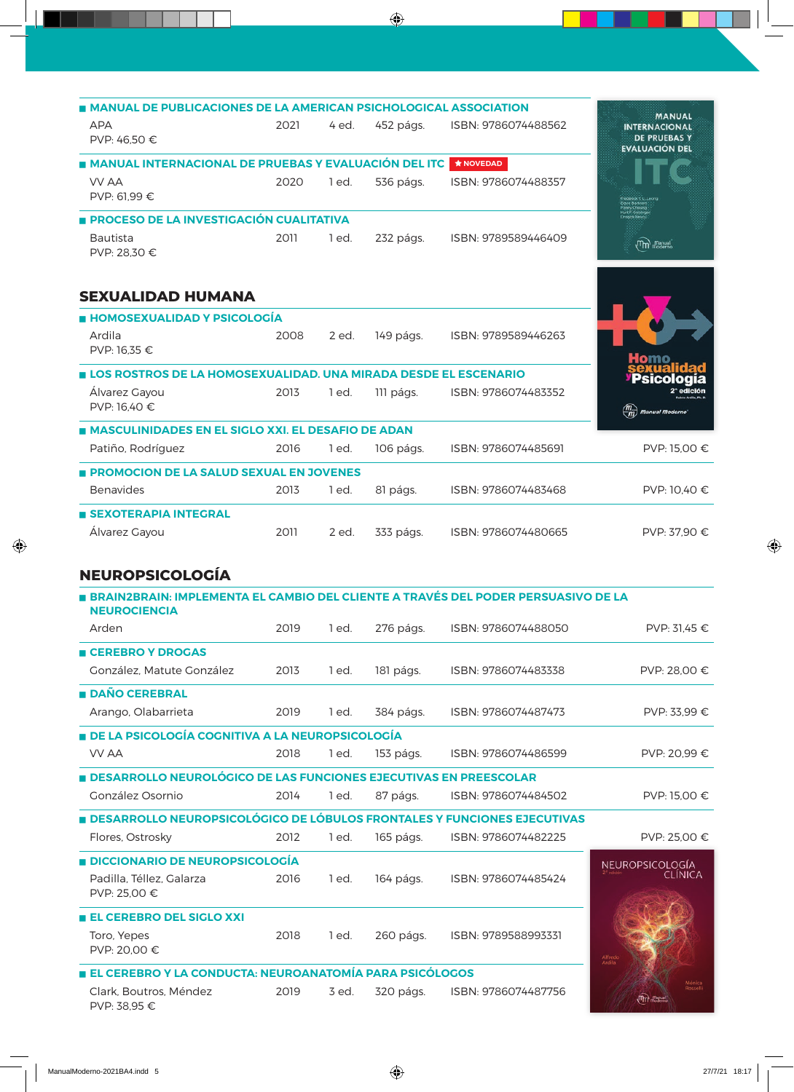| <b>MANUAL DE PUBLICACIONES DE LA AMERICAN PSICHOLOGICAL ASSOCIATION</b>                                  |      |         |           |                     | <b>MANUAL</b>                                                        |
|----------------------------------------------------------------------------------------------------------|------|---------|-----------|---------------------|----------------------------------------------------------------------|
| <b>APA</b><br>PVP: 46,50 €                                                                               | 2021 | 4 ed.   | 452 págs. | ISBN: 9786074488562 | <b>INTERNACIONAL</b><br><b>DE PRUEBAS Y</b><br><b>EVALUACIÓN DEL</b> |
| MANUAL INTERNACIONAL DE PRUEBAS Y EVALUACIÓN DEL ITC                                                     |      |         |           | ★ NOVEDAD           |                                                                      |
| <b>VV AA</b><br>PVP: 61,99 €                                                                             | 2020 | 1 ed.   | 536 págs. | ISBN: 9786074488357 |                                                                      |
| <b>PROCESO DE LA INVESTIGACIÓN CUALITATIVA</b>                                                           |      |         |           |                     |                                                                      |
| <b>Bautista</b><br>PVP: 28,30 €                                                                          | 2011 | 1 ed.   | 232 págs. | ISBN: 9789589446409 | $(\mathsf{m})$ $\mathsf{u}^{\mathsf{partial}}_{\mathsf{m}}$          |
| <b>SEXUALIDAD HUMANA</b>                                                                                 |      |         |           |                     |                                                                      |
| <b>HOMOSEXUALIDAD Y PSICOLOGÍA</b>                                                                       |      |         |           |                     |                                                                      |
| Ardila<br>PVP: 16,35 €                                                                                   | 2008 | 2 ed.   | 149 págs. | ISBN: 9789589446263 |                                                                      |
| LOS ROSTROS DE LA HOMOSEXUALIDAD. UNA MIRADA DESDE EL ESCENARIO                                          |      |         |           |                     |                                                                      |
| Álvarez Gayou<br>PVP: 16,40 €                                                                            | 2013 | $1$ ed. | 111 págs. | ISBN: 9786074483352 | <b>Manual Moderno</b>                                                |
| <b>MASCULINIDADES EN EL SIGLO XXI. EL DESAFIO DE ADAN</b>                                                |      |         |           |                     |                                                                      |
| Patiño, Rodríguez                                                                                        | 2016 | 1 ed.   | 106 págs. | ISBN: 9786074485691 | PVP: 15,00 €                                                         |
| PROMOCION DE LA SALUD SEXUAL EN JOVENES                                                                  |      |         |           |                     |                                                                      |
| <b>Benavides</b>                                                                                         | 2013 | 1 ed.   | 81 págs.  | ISBN: 9786074483468 | PVP: 10,40 €                                                         |
| <b>SEXOTERAPIA INTEGRAL</b>                                                                              |      |         |           |                     |                                                                      |
| Álvarez Gayou                                                                                            | 2011 | 2 ed.   | 333 págs. | ISBN: 9786074480665 | PVP: 37,90 €                                                         |
| <b>NEUROPSICOLOGÍA</b>                                                                                   |      |         |           |                     |                                                                      |
| BRAIN2BRAIN: IMPLEMENTA EL CAMBIO DEL CLIENTE A TRAVÉS DEL PODER PERSUASIVO DE LA<br><b>NEUROCIENCIA</b> |      |         |           |                     |                                                                      |
| Arden                                                                                                    | 2019 | 1 ed.   | 276 págs. | ISBN: 9786074488050 | PVP: 31,45 €                                                         |
| <b>E CEREBRO Y DROGAS</b>                                                                                |      |         |           |                     |                                                                      |
| González, Matute González                                                                                | 2013 | 1 ed.   | 181 págs. | ISBN: 9786074483338 | PVP: 28,00 €                                                         |
| <b>DAÑO CEREBRAL</b>                                                                                     |      |         |           |                     |                                                                      |
| Arango, Olabarrieta                                                                                      | 2019 | 1 ed.   | 384 págs. | ISBN: 9786074487473 | PVP: 33,99 €                                                         |
| DE LA PSICOLOGÍA COGNITIVA A LA NEUROPSICOLOGÍA                                                          |      |         |           |                     |                                                                      |
| <b>VV AA</b>                                                                                             | 2018 | 1 ed.   | 153 págs. | ISBN: 9786074486599 | PVP: 20,99 €                                                         |
| <b>DESARROLLO NEUROLÓGICO DE LAS FUNCIONES EJECUTIVAS EN PREESCOLAR</b>                                  |      |         |           |                     |                                                                      |
| González Osornio                                                                                         | 2014 | 1 ed.   | 87 págs.  | ISBN: 9786074484502 | PVP: 15,00 €                                                         |
| <b>DESARROLLO NEUROPSICOLÓGICO DE LÓBULOS FRONTALES Y FUNCIONES EJECUTIVAS</b>                           |      |         |           |                     |                                                                      |
| Flores, Ostrosky                                                                                         | 2012 | 1 ed.   | 165 págs. | ISBN: 9786074482225 | PVP: 25,00 €                                                         |
| <b>DICCIONARIO DE NEUROPSICOLOGÍA</b>                                                                    |      |         |           |                     | <b>NEUROPSICOLOGÍA</b>                                               |
| Padilla, Téllez, Galarza<br>PVP: 25,00 €                                                                 | 2016 | 1 ed.   | 164 págs. | ISBN: 9786074485424 | <b>CLINICA</b>                                                       |
| <b>EL CEREBRO DEL SIGLO XXI</b>                                                                          |      |         |           |                     |                                                                      |
| Toro, Yepes<br>PVP: 20,00 €                                                                              | 2018 | 1 ed.   | 260 págs. | ISBN: 9789588993331 | Alfred<br>Ardila                                                     |
| EL CEREBRO Y LA CONDUCTA: NEUROANATOMÍA PARA PSICÓLOGOS                                                  |      |         |           |                     |                                                                      |
| Clark, Boutros, Méndez<br>PVP: 38,95 €                                                                   | 2019 | 3 ed.   | 320 págs. | ISBN: 9786074487756 | $\omega_{\rm up}$                                                    |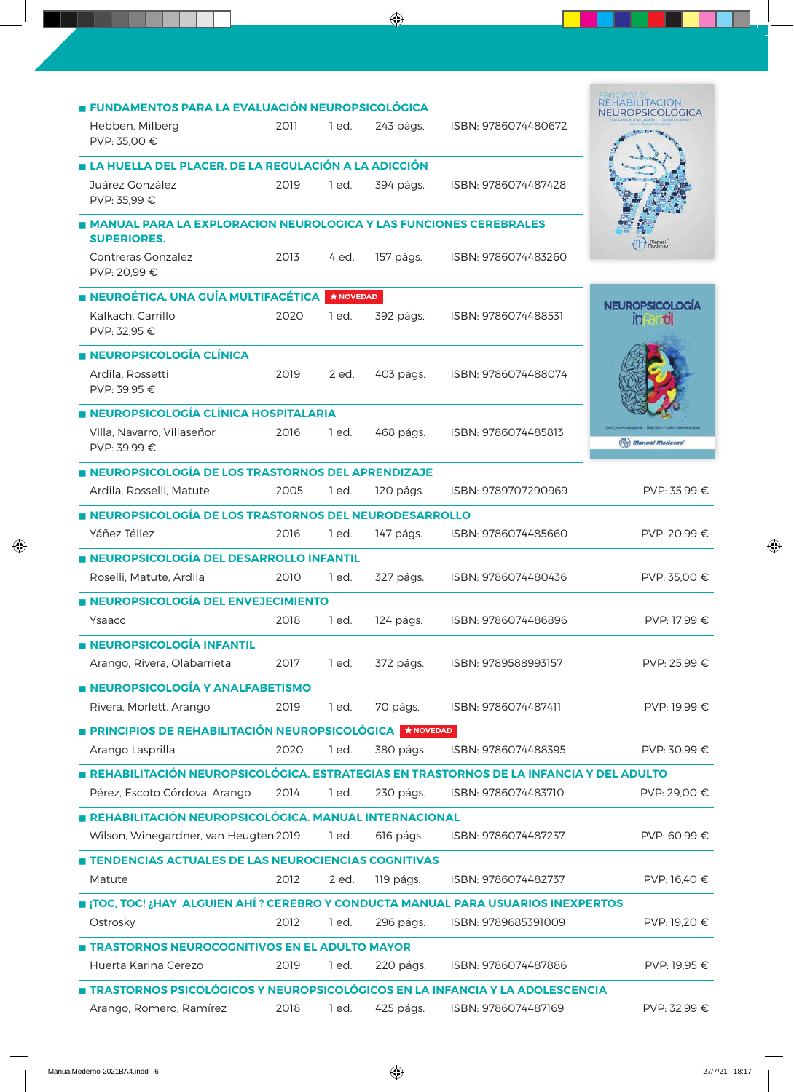| E FUNDAMENTOS PARA LA EVALUACIÓN NEUROPSICOLÓGICA                                       |      |                    |                    |                     | <b>REHABILITACION</b>             |
|-----------------------------------------------------------------------------------------|------|--------------------|--------------------|---------------------|-----------------------------------|
| Hebben, Milberg<br>PVP: 35,00 €                                                         | 2011 | 1 ed.              | 243 págs.          | ISBN: 9786074480672 | <b>NEUROPSICOLOGICA</b>           |
| LA HUELLA DEL PLACER. DE LA REGULACIÓN A LA ADICCIÓN                                    |      |                    |                    |                     |                                   |
| Juárez González<br>PVP: 35,99 €                                                         | 2019 | 1 ed.              | 394 págs.          | ISBN: 9786074487428 |                                   |
| MANUAL PARA LA EXPLORACION NEUROLOGICA Y LAS FUNCIONES CEREBRALES<br><b>SUPERIORES.</b> |      |                    |                    |                     | m <sub>m</sub> m <sub>anual</sub> |
| Contreras Gonzalez<br>PVP: 20,99 €                                                      | 2013 | 4 ed.              | 157 págs.          | ISBN: 9786074483260 |                                   |
| NEUROÉTICA. UNA GUÍA MULTIFACÉTICA                                                      |      | $\bigstar$ NOVEDAD |                    |                     |                                   |
| Kalkach, Carrillo<br>PVP: 32,95 €                                                       | 2020 | 1 ed.              | 392 págs.          | ISBN: 9786074488531 | <b>NEUROPSICOLOGÍA</b><br>in and  |
| <b>NEUROPSICOLOGÍA CLÍNICA</b>                                                          |      |                    |                    |                     |                                   |
| Ardila, Rossetti<br>PVP: 39,95 €                                                        | 2019 | 2 ed.              | 403 págs.          | ISBN: 9786074488074 |                                   |
| <b>E NEUROPSICOLOGÍA CLÍNICA HOSPITALARIA</b>                                           |      |                    |                    |                     |                                   |
| Villa, Navarro, Villaseñor<br>PVP: 39,99 €                                              | 2016 | 1 ed.              | 468 págs.          | ISBN: 9786074485813 | (m) Manual Moderno                |
| NEUROPSICOLOGÍA DE LOS TRASTORNOS DEL APRENDIZAJE                                       |      |                    |                    |                     |                                   |
| Ardila, Rosselli, Matute                                                                | 2005 | 1 ed.              | 120 págs.          | ISBN: 9789707290969 | PVP: 35,99 €                      |
| NEUROPSICOLOGÍA DE LOS TRASTORNOS DEL NEURODESARROLLO                                   |      |                    |                    |                     |                                   |
| Yáñez Téllez                                                                            | 2016 | 1 ed.              | 147 págs.          | ISBN: 9786074485660 | PVP: 20,99 €                      |
| NEUROPSICOLOGÍA DEL DESARROLLO INFANTIL                                                 |      |                    |                    |                     |                                   |
| Roselli, Matute, Ardila                                                                 | 2010 | 1 ed.              | 327 págs.          | ISBN: 9786074480436 | PVP: 35,00 €                      |
| NEUROPSICOLOGÍA DEL ENVEJECIMIENTO                                                      |      |                    |                    |                     |                                   |
| Ysaacc                                                                                  | 2018 | 1 ed.              | 124 págs.          | ISBN: 9786074486896 | PVP: 17,99 €                      |
| <b>NEUROPSICOLOGÍA INFANTIL</b>                                                         |      |                    |                    |                     |                                   |
| Arango, Rivera, Olabarrieta                                                             | 2017 | 1 ed.              | 372 págs.          | ISBN: 9789588993157 | PVP: 25,99 €                      |
| NEUROPSICOLOGÍA Y ANALFABETISMO                                                         |      |                    |                    |                     |                                   |
| Rivera, Morlett, Arango                                                                 | 2019 | 1 ed.              | 70 págs.           | ISBN: 9786074487411 | PVP: 19,99 €                      |
| <b>PRINCIPIOS DE REHABILITACIÓN NEUROPSICOLÓGICA</b>                                    |      |                    | $\bigstar$ NOVEDAD |                     |                                   |
| Arango Lasprilla                                                                        | 2020 | 1 ed.              | 380 págs.          | ISBN: 9786074488395 | PVP: 30,99 €                      |
| REHABILITACIÓN NEUROPSICOLÓGICA. ESTRATEGIAS EN TRASTORNOS DE LA INFANCIA Y DEL ADULTO  |      |                    |                    |                     |                                   |
| Pérez, Escoto Córdova, Arango                                                           | 2014 | 1 ed.              | 230 págs.          | ISBN: 9786074483710 | PVP: 29,00 €                      |
| REHABILITACIÓN NEUROPSICOLÓGICA. MANUAL INTERNACIONAL                                   |      |                    |                    |                     |                                   |
| Wilson, Winegardner, van Heugten 2019                                                   |      | 1 ed.              | 616 págs.          | ISBN: 9786074487237 | PVP: 60,99 €                      |
| TENDENCIAS ACTUALES DE LAS NEUROCIENCIAS COGNITIVAS                                     |      |                    |                    |                     |                                   |
| Matute                                                                                  | 2012 | 2 ed.              | 119 págs.          | ISBN: 9786074482737 | PVP: 16,40 €                      |
| TOC, TOC! ¿HAY ALGUIEN AHÍ ? CEREBRO Y CONDUCTA MANUAL PARA USUARIOS INEXPERTOS         |      |                    |                    |                     |                                   |
| Ostrosky                                                                                | 2012 | 1 ed.              | 296 págs.          | ISBN: 9789685391009 | PVP: 19,20 €                      |
| TRASTORNOS NEUROCOGNITIVOS EN EL ADULTO MAYOR                                           |      |                    |                    |                     |                                   |
| Huerta Karina Cerezo                                                                    | 2019 | 1 ed.              | 220 págs.          | ISBN: 9786074487886 | PVP: 19,95 €                      |
| TRASTORNOS PSICOLÓGICOS Y NEUROPSICOLÓGICOS EN LA INFANCIA Y LA ADOLESCENCIA            |      |                    |                    |                     |                                   |
| Arango, Romero, Ramírez                                                                 | 2018 | 1 ed.              | 425 págs.          | ISBN: 9786074487169 | PVP: 32,99 €                      |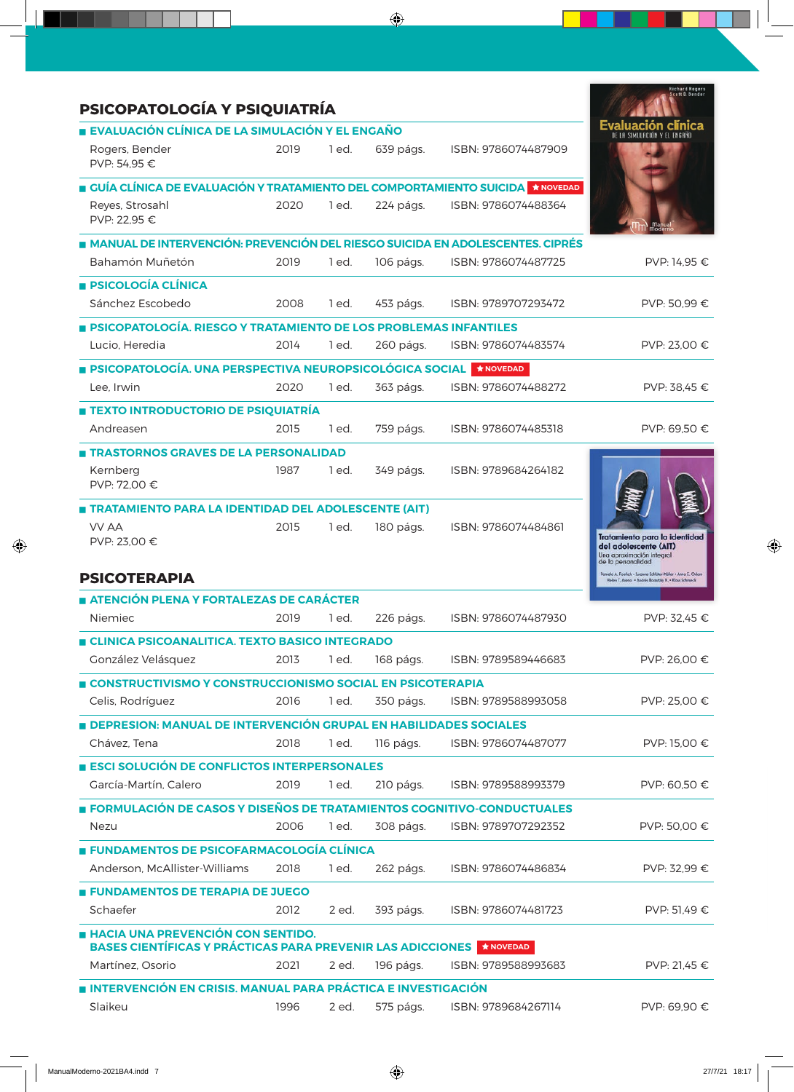| PSICOPATOLOGÍA Y PSIQUIATRÍA                                                                                       |      |       |           |                     | <b>Richard Rogers</b><br>Scott D. Bender                                                                       |
|--------------------------------------------------------------------------------------------------------------------|------|-------|-----------|---------------------|----------------------------------------------------------------------------------------------------------------|
| ■ EVALUACIÓN CLÍNICA DE LA SIMULACIÓN Y EL ENGAÑO                                                                  |      |       |           |                     |                                                                                                                |
| Rogers, Bender<br>PVP: 54,95 €                                                                                     | 2019 | 1 ed. | 639 págs. | ISBN: 9786074487909 |                                                                                                                |
| GUÍA CLÍNICA DE EVALUACIÓN Y TRATAMIENTO DEL COMPORTAMIENTO SUICIDA                                                |      |       |           | <b>★ NOVEDAD</b>    |                                                                                                                |
| Reyes, Strosahl<br>PVP: 22.95 €                                                                                    | 2020 | 1 ed. | 224 págs. | ISBN: 9786074488364 |                                                                                                                |
| ■ MANUAL DE INTERVENCIÓN: PREVENCIÓN DEL RIESGO SUICIDA EN ADOLESCENTES. CIPRÉS                                    |      |       |           |                     |                                                                                                                |
| Bahamón Muñetón                                                                                                    | 2019 | 1 ed. | 106 págs. | ISBN: 9786074487725 | PVP: 14,95 €                                                                                                   |
| <b>E PSICOLOGÍA CLÍNICA</b>                                                                                        |      |       |           |                     |                                                                                                                |
| Sánchez Escobedo                                                                                                   | 2008 | 1 ed. | 453 págs. | ISBN: 9789707293472 | PVP: 50.99 €                                                                                                   |
| <b>• PSICOPATOLOGÍA. RIESGO Y TRATAMIENTO DE LOS PROBLEMAS INFANTILES</b>                                          |      |       |           |                     |                                                                                                                |
| Lucio, Heredia                                                                                                     | 2014 | 1 ed. | 260 págs. | ISBN: 9786074483574 | PVP: 23.00 €                                                                                                   |
| <b>PSICOPATOLOGÍA. UNA PERSPECTIVA NEUROPSICOLÓGICA SOCIAL</b>                                                     |      |       |           | $*$ NOVEDAD         |                                                                                                                |
| Lee, Irwin                                                                                                         | 2020 | 1 ed. | 363 págs. | ISBN: 9786074488272 | PVP: 38.45 $∈$                                                                                                 |
| <b>TEXTO INTRODUCTORIO DE PSIQUIATRÍA</b>                                                                          |      |       |           |                     |                                                                                                                |
| Andreasen                                                                                                          | 2015 | 1 ed. | 759 págs. | ISBN: 9786074485318 | PVP: 69,50 €                                                                                                   |
| <b>TRASTORNOS GRAVES DE LA PERSONALIDAD</b>                                                                        |      |       |           |                     |                                                                                                                |
| Kernberg<br>PVP: 72,00 €                                                                                           | 1987 | 1 ed. | 349 págs. | ISBN: 9789684264182 |                                                                                                                |
| <b>TRATAMIENTO PARA LA IDENTIDAD DEL ADOLESCENTE (AIT)</b>                                                         |      |       |           |                     |                                                                                                                |
| <b>VV AA</b><br>PVP: 23,00 €                                                                                       | 2015 | 1 ed. | 180 págs. | ISBN: 9786074484861 | Tratamiento para la identidad<br>del adolescente (AIT)<br>Una aproximación integral<br>de la personalidad      |
| <b>PSICOTERAPIA</b>                                                                                                |      |       |           |                     | Pamela A. Foehch - Suianne Schlüter-Müller - Anna E. Odom<br>en T. Areno · Andrés Bornstriv H. · Klous Schmeck |
| ATENCIÓN PLENA Y FORTALEZAS DE CARÁCTER                                                                            |      |       |           |                     |                                                                                                                |
| <b>Niemiec</b>                                                                                                     | 2019 | 1 ed. | 226 págs. | ISBN: 9786074487930 | PVP: 32.45 €                                                                                                   |
| <b>E CLINICA PSICOANALITICA. TEXTO BASICO INTEGRADO</b>                                                            |      |       |           |                     |                                                                                                                |
| González Velásquez                                                                                                 | 2013 | 1 ed. | 168 págs. | ISBN: 9789589446683 | PVP: 26,00 €                                                                                                   |
| CONSTRUCTIVISMO Y CONSTRUCCIONISMO SOCIAL EN PSICOTERAPIA                                                          |      |       |           |                     |                                                                                                                |
| Celis, Rodríguez                                                                                                   | 2016 | 1 ed. | 350 págs. | ISBN: 9789588993058 | PVP: 25,00 €                                                                                                   |
| <b>DEPRESION: MANUAL DE INTERVENCIÓN GRUPAL EN HABILIDADES SOCIALES</b>                                            |      |       |           |                     |                                                                                                                |
| Chávez, Tena                                                                                                       | 2018 | 1 ed. | 116 págs. | ISBN: 9786074487077 | PVP: 15,00 €                                                                                                   |
| <b>ESCI SOLUCIÓN DE CONFLICTOS INTERPERSONALES</b>                                                                 |      |       |           |                     |                                                                                                                |
| García-Martín, Calero                                                                                              | 2019 | 1 ed. | 210 págs. | ISBN: 9789588993379 | PVP: 60,50 €                                                                                                   |
| FORMULACIÓN DE CASOS Y DISEÑOS DE TRATAMIENTOS COGNITIVO-CONDUCTUALES                                              |      |       |           |                     |                                                                                                                |
| Nezu                                                                                                               | 2006 | 1 ed. | 308 págs. | ISBN: 9789707292352 | PVP: 50,00 €                                                                                                   |
| <b>E FUNDAMENTOS DE PSICOFARMACOLOGÍA CLÍNICA</b>                                                                  |      |       |           |                     |                                                                                                                |
| Anderson, McAllister-Williams                                                                                      | 2018 | 1 ed. | 262 págs. | ISBN: 9786074486834 | PVP: 32,99 €                                                                                                   |
| <b>E FUNDAMENTOS DE TERAPIA DE JUEGO</b>                                                                           |      |       |           |                     |                                                                                                                |
| Schaefer                                                                                                           | 2012 | 2 ed. | 393 págs. | ISBN: 9786074481723 | PVP: 51,49 €                                                                                                   |
| <b>E HACIA UNA PREVENCIÓN CON SENTIDO.</b><br>BASES CIENTÍFICAS Y PRÁCTICAS PARA PREVENIR LAS ADICCIONES ★ NOVEDAD |      |       |           |                     |                                                                                                                |
| Martínez, Osorio                                                                                                   | 2021 | 2 ed. | 196 págs. | ISBN: 9789588993683 | PVP: 21,45 €                                                                                                   |
| <b>INTERVENCIÓN EN CRISIS. MANUAL PARA PRÁCTICA E INVESTIGACIÓN</b>                                                |      |       |           |                     |                                                                                                                |
| Slaikeu                                                                                                            | 1996 | 2 ed. | 575 págs. | ISBN: 9789684267114 | PVP: 69,90 €                                                                                                   |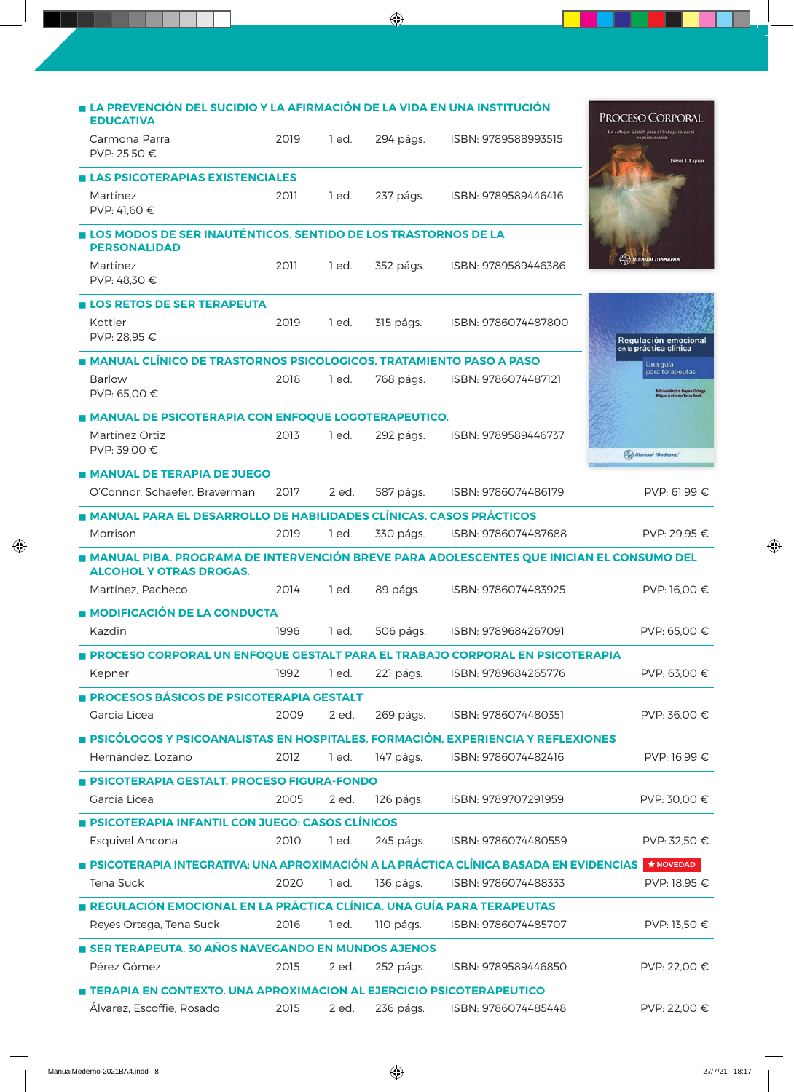| LA PREVENCIÓN DEL SUCIDIO Y LA AFIRMACIÓN DE LA VIDA EN UNA INSTITUCIÓN                                                             |      |         |           |                     |                                                                                   |
|-------------------------------------------------------------------------------------------------------------------------------------|------|---------|-----------|---------------------|-----------------------------------------------------------------------------------|
| <b>EDUCATIVA</b>                                                                                                                    |      |         |           |                     | <b>PROCESO CORPORAL</b>                                                           |
| Carmona Parra<br>PVP: 25.50 €                                                                                                       | 2019 | 1 ed.   | 294 págs. | ISBN: 9789588993515 | Un enfoque Gestalt para el trabajo corporal<br>en psicoterapia<br>James L. Kepner |
| <b>ELAS PSICOTERAPIAS EXISTENCIALES</b>                                                                                             |      |         |           |                     |                                                                                   |
| Martínez<br>PVP: 41,60 €                                                                                                            | 2011 | 1 ed.   | 237 págs. | ISBN: 9789589446416 |                                                                                   |
| <b>LOS MODOS DE SER INAUTÉNTICOS. SENTIDO DE LOS TRASTORNOS DE LA</b>                                                               |      |         |           |                     |                                                                                   |
| <b>PERSONALIDAD</b>                                                                                                                 |      |         |           |                     | $\left(\frac{m}{m}\right)$ Manual Moderno                                         |
| Martínez<br>PVP: 48.30 €                                                                                                            | 2011 | 1 ed.   | 352 págs. | ISBN: 9789589446386 |                                                                                   |
| ■ LOS RETOS DE SER TERAPEUTA                                                                                                        |      |         |           |                     |                                                                                   |
| Kottler<br>PVP: 28.95 €                                                                                                             | 2019 | 1 ed.   | 315 págs. | ISBN: 9786074487800 | Regulación emocional<br>en la práctica clínica                                    |
| <b>MANUAL CLÍNICO DE TRASTORNOS PSICOLOGICOS. TRATAMIENTO PASO A PASO</b>                                                           |      |         |           |                     | Una guía                                                                          |
| <b>Barlow</b><br>PVP: 65,00 €                                                                                                       | 2018 | 1 ed.   | 768 págs. | ISBN: 9786074487121 | para terapeutas<br>Michel André Reyes Ortega<br>Edgar Antonio Tena Suck           |
| <b>MANUAL DE PSICOTERAPIA CON ENFOQUE LOGOTERAPEUTICO.</b>                                                                          |      |         |           |                     |                                                                                   |
| Martínez Ortiz<br>PVP: 39,00 €                                                                                                      | 2013 | 1 ed.   | 292 págs. | ISBN: 9789589446737 | (m) Manual Moderno                                                                |
| <b>MANUAL DE TERAPIA DE JUEGO</b>                                                                                                   |      |         |           |                     |                                                                                   |
| O'Connor, Schaefer, Braverman                                                                                                       | 2017 | 2 ed.   | 587 págs. | ISBN: 9786074486179 | PVP: 61.99 €                                                                      |
| <b>MANUAL PARA EL DESARROLLO DE HABILIDADES CLÍNICAS. CASOS PRÁCTICOS</b>                                                           |      |         |           |                     |                                                                                   |
| Morrison                                                                                                                            | 2019 | 1 ed.   | 330 págs. | ISBN: 9786074487688 | PVP: 29,95 €                                                                      |
| <b>A MANUAL PIBA. PROGRAMA DE INTERVENCIÓN BREVE PARA ADOLESCENTES QUE INICIAN EL CONSUMO DEL</b><br><b>ALCOHOL Y OTRAS DROGAS.</b> |      |         |           |                     |                                                                                   |
| Martínez, Pacheco                                                                                                                   | 2014 | $1$ ed. | 89 págs.  | ISBN: 9786074483925 | PVP: 16,00 €                                                                      |
| ■ MODIFICACIÓN DE LA CONDUCTA                                                                                                       |      |         |           |                     |                                                                                   |
| Kazdin                                                                                                                              | 1996 | 1 ed.   | 506 págs. | ISBN: 9789684267091 | PVP: 65.00 €                                                                      |
| PROCESO CORPORAL UN ENFOQUE GESTALT PARA EL TRABAJO CORPORAL EN PSICOTERAPIA                                                        |      |         |           |                     |                                                                                   |
| Kepner                                                                                                                              | 1992 | 1 ed.   | 221 págs. | ISBN: 9789684265776 | PVP: 63,00 €                                                                      |
| PROCESOS BÁSICOS DE PSICOTERAPIA GESTALT                                                                                            |      |         |           |                     |                                                                                   |
| García Licea                                                                                                                        | 2009 | 2 ed.   | 269 págs. | ISBN: 9786074480351 | PVP: 36,00 €                                                                      |
| <b>PSICÓLOGOS Y PSICOANALISTAS EN HOSPITALES. FORMACIÓN, EXPERIENCIA Y REFLEXIONES</b>                                              |      |         |           |                     |                                                                                   |
| Hernández, Lozano                                                                                                                   | 2012 | 1 ed.   | 147 págs. | ISBN: 9786074482416 | PVP: 16,99 €                                                                      |
|                                                                                                                                     |      |         |           |                     |                                                                                   |
| <b>BICOTERAPIA GESTALT. PROCESO FIGURA-FONDO</b><br>García Licea                                                                    | 2005 | 2 ed.   | 126 págs. | ISBN: 9789707291959 | PVP: 30,00 €                                                                      |
|                                                                                                                                     |      |         |           |                     |                                                                                   |
| <b>PSICOTERAPIA INFANTIL CON JUEGO: CASOS CLÍNICOS</b>                                                                              |      |         |           |                     |                                                                                   |
| <b>Esquivel Ancona</b>                                                                                                              | 2010 | 1 ed.   | 245 págs. | ISBN: 9786074480559 | PVP: 32,50 €                                                                      |
| PSICOTERAPIA INTEGRATIVA: UNA APROXIMACIÓN A LA PRÁCTICA CLÍNICA BASADA EN EVIDENCIAS                                               |      |         |           |                     | <b>★ NOVEDAD</b>                                                                  |
| Tena Suck                                                                                                                           | 2020 | 1 ed.   | 136 págs. | ISBN: 9786074488333 | PVP: 18,95 €                                                                      |
| REGULACIÓN EMOCIONAL EN LA PRÁCTICA CLÍNICA. UNA GUÍA PARA TERAPEUTAS                                                               |      |         |           |                     |                                                                                   |
| Reyes Ortega, Tena Suck                                                                                                             | 2016 | 1 ed.   | 110 págs. | ISBN: 9786074485707 | PVP: 13,50 €                                                                      |
| SER TERAPEUTA. 30 AÑOS NAVEGANDO EN MUNDOS AJENOS                                                                                   |      |         |           |                     |                                                                                   |
| Pérez Gómez                                                                                                                         | 2015 | 2 ed.   | 252 págs. | ISBN: 9789589446850 | PVP: 22,00 €                                                                      |
| TERAPIA EN CONTEXTO. UNA APROXIMACION AL EJERCICIO PSICOTERAPEUTICO                                                                 |      |         |           |                     |                                                                                   |
| Álvarez, Escoffie, Rosado                                                                                                           | 2015 | 2 ed.   | 236 págs. | ISBN: 9786074485448 | PVP: 22,00 €                                                                      |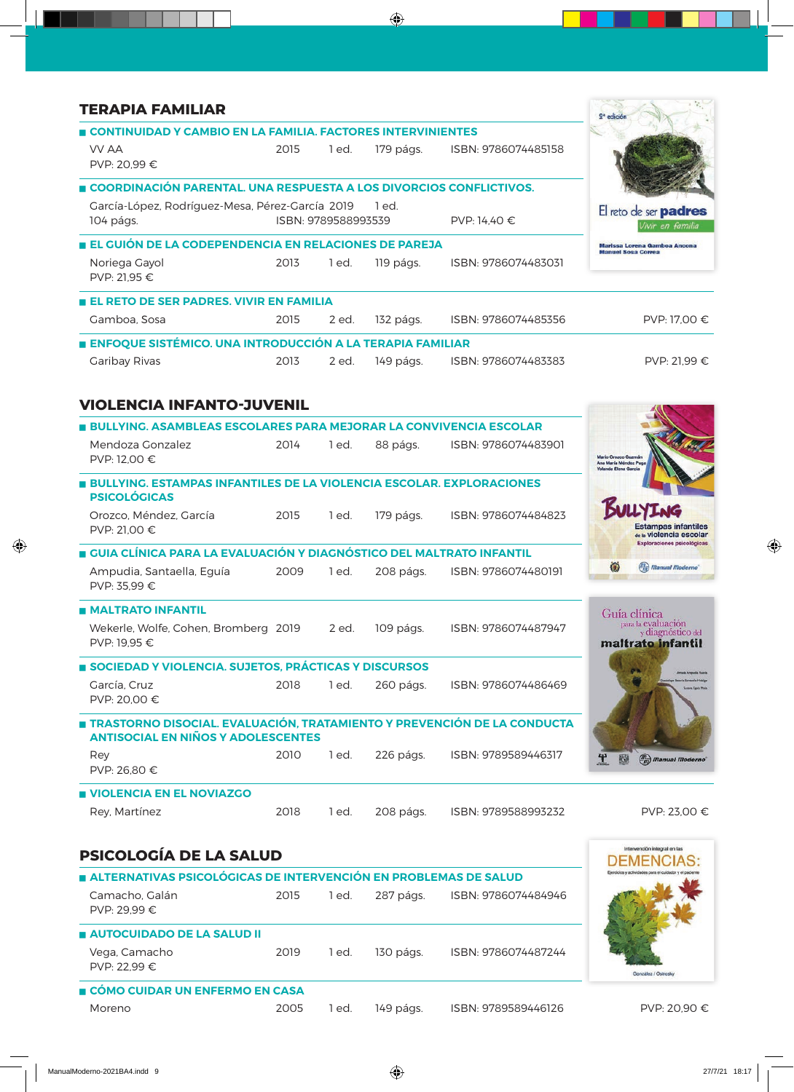| <b>TERAPIA FAMILIAR</b>                                                                                              |      |                     |           |                     | 2 <sup>ª</sup> edición                                                   |
|----------------------------------------------------------------------------------------------------------------------|------|---------------------|-----------|---------------------|--------------------------------------------------------------------------|
| CONTINUIDAD Y CAMBIO EN LA FAMILIA. FACTORES INTERVINIENTES                                                          |      |                     |           |                     |                                                                          |
| VV AA<br>PVP: 20.99 €                                                                                                | 2015 | 1 ed.               | 179 págs. | ISBN: 9786074485158 |                                                                          |
| COORDINACIÓN PARENTAL. UNA RESPUESTA A LOS DIVORCIOS CONFLICTIVOS.                                                   |      |                     |           |                     |                                                                          |
| García-López, Rodríguez-Mesa, Pérez-García 2019<br>104 págs.                                                         |      | ISBN: 9789588993539 | 1 ed.     | PVP: 14,40 €        | El reto de ser <b>padres</b><br>Vivir en familia                         |
| EL GUIÓN DE LA CODEPENDENCIA EN RELACIONES DE PAREJA                                                                 |      |                     |           |                     | Marissa Lorena Gamboa Anoona                                             |
| Noriega Gayol<br>PVP: 21.95 €                                                                                        | 2013 | 1 ed.               | 119 págs. | ISBN: 9786074483031 | <b>Manuel Sosa Correa</b>                                                |
| <b>EL RETO DE SER PADRES. VIVIR EN FAMILIA</b>                                                                       |      |                     |           |                     |                                                                          |
| Gamboa, Sosa                                                                                                         | 2015 | 2 ed.               | 132 págs. | ISBN: 9786074485356 | PVP: 17,00 €                                                             |
| ENFOQUE SISTÉMICO. UNA INTRODUCCIÓN A LA TERAPIA FAMILIAR                                                            |      |                     |           |                     |                                                                          |
| <b>Garibay Rivas</b>                                                                                                 | 2013 | 2 ed.               | 149 págs. | ISBN: 9786074483383 | PVP: 21,99 €                                                             |
| <b>VIOLENCIA INFANTO-JUVENIL</b>                                                                                     |      |                     |           |                     |                                                                          |
| <b>BULLYING, ASAMBLEAS ESCOLARES PARA MEJORAR LA CONVIVENCIA ESCOLAR</b>                                             |      |                     |           |                     |                                                                          |
| Mendoza Gonzalez<br>PVP: 12,00 €                                                                                     | 2014 | 1 ed.               | 88 págs.  | ISBN: 9786074483901 | Mario Orozco Guzmán<br>Ana María Méndez Pug<br><b>Yolanda Elena Garc</b> |
| <b>BULLYING. ESTAMPAS INFANTILES DE LA VIOLENCIA ESCOLAR. EXPLORACIONES</b><br><b>PSICOLÓGICAS</b>                   |      |                     |           |                     |                                                                          |
| Orozco, Méndez, García<br>PVP: 21,00 €                                                                               | 2015 | 1 ed.               | 179 págs. | ISBN: 9786074484823 | <b>Estampas infantiles</b><br>de la Violencia escolar                    |
| ■ GUIA CLÍNICA PARA LA EVALUACIÓN Y DIAGNÓSTICO DEL MALTRATO INFANTIL                                                |      |                     |           |                     | <b>Exploraciones psicológicas</b>                                        |
| Ampudia, Santaella, Eguía<br>PVP: 35,99 €                                                                            | 2009 | 1 ed.               | 208 págs. | ISBN: 9786074480191 | О<br>(m) Manual Moderno                                                  |
| <b>MALTRATO INFANTIL</b>                                                                                             |      |                     |           |                     | Guía clínica                                                             |
| Wekerle, Wolfe, Cohen, Bromberg 2019<br>PVP: 19,95 €                                                                 |      | 2 ed.               | 109 págs. | ISBN: 9786074487947 | para la evaluación<br>y diagnóstico del<br>maltrato infantil             |
| SOCIEDAD Y VIOLENCIA. SUJETOS, PRÁCTICAS Y DISCURSOS                                                                 |      |                     |           |                     |                                                                          |
| García, Cruz<br>PVP: 20,00 €                                                                                         | 2018 | 1 ed.               | 260 págs. | ISBN: 9786074486469 |                                                                          |
| TRASTORNO DISOCIAL. EVALUACIÓN, TRATAMIENTO Y PREVENCIÓN DE LA CONDUCTA<br><b>ANTISOCIAL EN NIÑOS Y ADOLESCENTES</b> |      |                     |           |                     |                                                                          |
| Rey<br>PVP: 26,80 €                                                                                                  | 2010 | 1 ed.               | 226 págs. | ISBN: 9789589446317 | 醚<br>$\binom{m}{m}$ Manual Moderno                                       |
| <b>UIOLENCIA EN EL NOVIAZGO</b>                                                                                      |      |                     |           |                     |                                                                          |
| Rey, Martínez                                                                                                        | 2018 | 1 ed.               | 208 págs. | ISBN: 9789588993232 | PVP: 23,00 €                                                             |
| <b>PSICOLOGÍA DE LA SALUD</b>                                                                                        |      |                     |           |                     | Intervención integral en las                                             |
| ALTERNATIVAS PSICOLÓGICAS DE INTERVENCIÓN EN PROBLEMAS DE SALUD                                                      |      |                     |           |                     |                                                                          |
| Camacho, Galán<br>PVP: 29,99 €                                                                                       | 2015 | 1 ed.               | 287 págs. | ISBN: 9786074484946 |                                                                          |
| <b>AUTOCUIDADO DE LA SALUD II</b>                                                                                    |      |                     |           |                     |                                                                          |
| Vega, Camacho<br>PVP: 22,99 €                                                                                        | 2019 | 1 ed.               | 130 págs. | ISBN: 9786074487244 | González / Ostrosky                                                      |

#### **CÓMO CUIDAR UN ENFERMO EN CASA**

Moreno 2005 1 ed. 149 págs. ISBN: 9789589446126 PVP: 20,90 €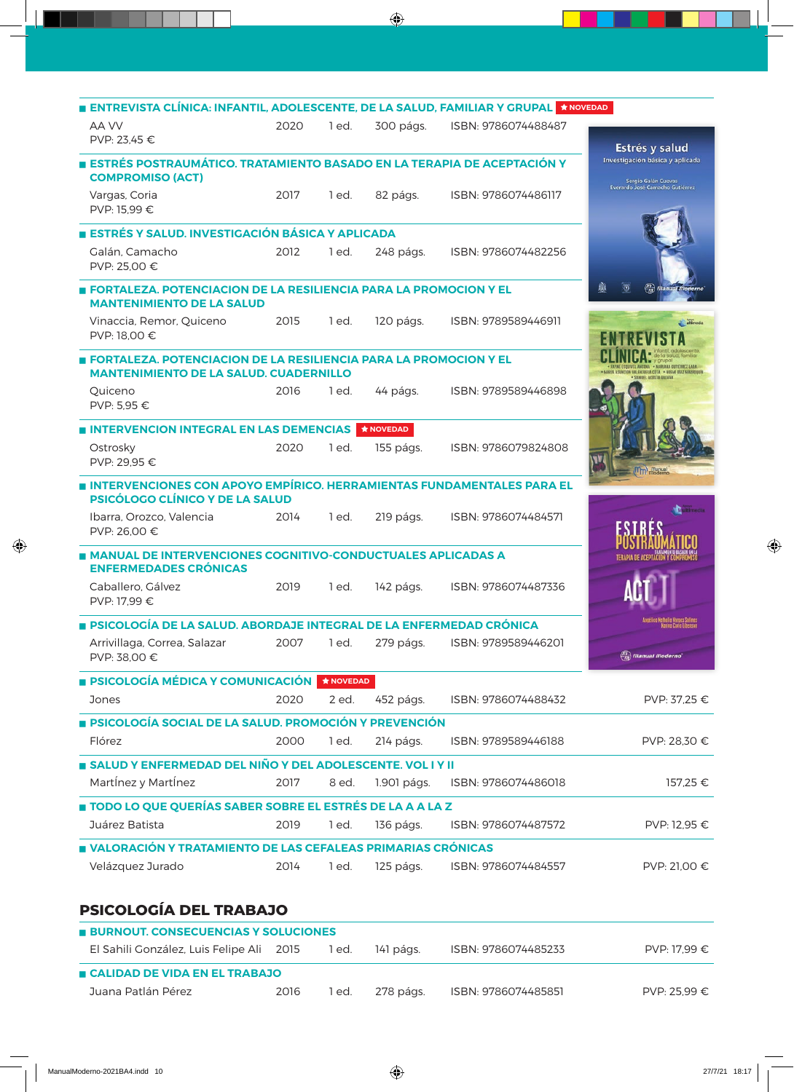| ENTREVISTA CLÍNICA: INFANTIL, ADOLESCENTE, DE LA SALUD, FAMILIAR Y GRUPAL ★ NOVEDAD                                        |      |                 |                    |                     |                                                        |
|----------------------------------------------------------------------------------------------------------------------------|------|-----------------|--------------------|---------------------|--------------------------------------------------------|
| AA VV<br>PVP: 23.45 €                                                                                                      | 2020 | 1 ed.           | 300 págs.          | ISBN: 9786074488487 |                                                        |
|                                                                                                                            |      |                 |                    |                     | Estrés y salud<br>Investigación básica y aplicada      |
| ESTRÉS POSTRAUMÁTICO. TRATAMIENTO BASADO EN LA TERAPIA DE ACEPTACIÓN Y<br><b>COMPROMISO (ACT)</b>                          |      |                 |                    |                     | Sergio Galán Cuevas<br>Everardo José Camacho Gutiérrez |
| Vargas, Coria<br>PVP: 15,99 €                                                                                              | 2017 | 1 ed.           | 82 págs.           | ISBN: 9786074486117 |                                                        |
| ESTRÉS Y SALUD. INVESTIGACIÓN BÁSICA Y APLICADA                                                                            |      |                 |                    |                     |                                                        |
| Galán, Camacho<br>PVP: 25,00 €                                                                                             | 2012 | 1 ed.           | 248 págs.          | ISBN: 9786074482256 |                                                        |
| FORTALEZA. POTENCIACION DE LA RESILIENCIA PARA LA PROMOCION Y EL<br><b>MANTENIMIENTO DE LA SALUD</b>                       |      |                 |                    |                     |                                                        |
| Vinaccia, Remor, Quiceno<br>PVP: 18,00 €                                                                                   | 2015 | 1 ed.           | 120 págs.          | ISBN: 9789589446911 |                                                        |
| <b>E FORTALEZA. POTENCIACION DE LA RESILIENCIA PARA LA PROMOCION Y EL</b><br><b>MANTENIMIENTO DE LA SALUD. CUADERNILLO</b> |      |                 |                    |                     |                                                        |
| Quiceno<br>PVP: 5.95 €                                                                                                     | 2016 | 1 ed.           | 44 págs.           | ISBN: 9789589446898 |                                                        |
| INTERVENCION INTEGRAL EN LAS DEMENCIAS                                                                                     |      |                 | $\bigstar$ NOVEDAD |                     |                                                        |
| Ostrosky<br>PVP: 29,95 €                                                                                                   | 2020 | 1 ed.           | 155 págs.          | ISBN: 9786079824808 |                                                        |
| INTERVENCIONES CON APOYO EMPÍRICO. HERRAMIENTAS FUNDAMENTALES PARA EL<br>PSICÓLOGO CLÍNICO Y DE LA SALUD                   |      |                 |                    |                     |                                                        |
| Ibarra, Orozco, Valencia<br>PVP: 26,00 €                                                                                   | 2014 | 1 ed.           | 219 págs.          | ISBN: 9786074484571 |                                                        |
| MANUAL DE INTERVENCIONES COGNITIVO-CONDUCTUALES APLICADAS A<br><b>ENFERMEDADES CRÓNICAS</b>                                |      |                 |                    |                     |                                                        |
| Caballero, Gálvez<br>PVP: 17,99 €                                                                                          | 2019 | 1 ed.           | 142 págs.          | ISBN: 9786074487336 |                                                        |
| <b>PSICOLOGÍA DE LA SALUD. ABORDAJE INTEGRAL DE LA ENFERMEDAD CRÓNICA</b>                                                  |      |                 |                    |                     |                                                        |
| Arrivillaga, Correa, Salazar<br>PVP: 38,00 €                                                                               | 2007 | 1 ed.           | 279 págs.          | ISBN: 9789589446201 | $\binom{m}{m}$ Manual Moderno'                         |
| <b>B PSICOLOGÍA MÉDICA Y COMUNICACIÓN</b>                                                                                  |      | $\star$ NOVEDAD |                    |                     |                                                        |
| Jones                                                                                                                      | 2020 | 2 ed.           | 452 págs.          | ISBN: 9786074488432 | PVP: 37,25 €                                           |
| <b>PSICOLOGÍA SOCIAL DE LA SALUD. PROMOCIÓN Y PREVENCIÓN</b>                                                               |      |                 |                    |                     |                                                        |
| Flórez                                                                                                                     | 2000 | 1 ed.           | 214 págs.          | ISBN: 9789589446188 | PVP: 28,30 €                                           |
| SALUD Y ENFERMEDAD DEL NIÑO Y DEL ADOLESCENTE. VOL I Y II                                                                  |      |                 |                    |                     |                                                        |
| Martínez y Martínez                                                                                                        | 2017 | 8 ed.           | 1.901 págs.        | ISBN: 9786074486018 | 157,25€                                                |
| TODO LO QUE QUERÍAS SABER SOBRE EL ESTRÉS DE LA A A LA Z                                                                   |      |                 |                    |                     |                                                        |
| Juárez Batista                                                                                                             | 2019 | 1 ed.           | 136 págs.          | ISBN: 9786074487572 | PVP: 12,95 €                                           |
| NALORACIÓN Y TRATAMIENTO DE LAS CEFALEAS PRIMARIAS CRÓNICAS                                                                |      |                 |                    |                     |                                                        |
| Velázquez Jurado                                                                                                           | 2014 | 1 ed.           | 125 págs.          | ISBN: 9786074484557 | PVP: 21,00 €                                           |
| <b>PSICOLOGÍA DEL TRABAJO</b>                                                                                              |      |                 |                    |                     |                                                        |
|                                                                                                                            |      |                 |                    |                     |                                                        |

| <b>BURNOUT, CONSECUENCIAS Y SOLUCIONES</b> |      |       |           |                     |              |
|--------------------------------------------|------|-------|-----------|---------------------|--------------|
| El Sahili González, Luis Felipe Ali 2015   |      | 1 ed. | 141 págs. | ISBN: 9786074485233 | PVP: 17.99 € |
| <b>E CALIDAD DE VIDA EN EL TRABAJO</b>     |      |       |           |                     |              |
| Juana Patlán Pérez                         | 2016 | l ed. | 278 págs. | ISBN: 9786074485851 | PVP: 25.99 € |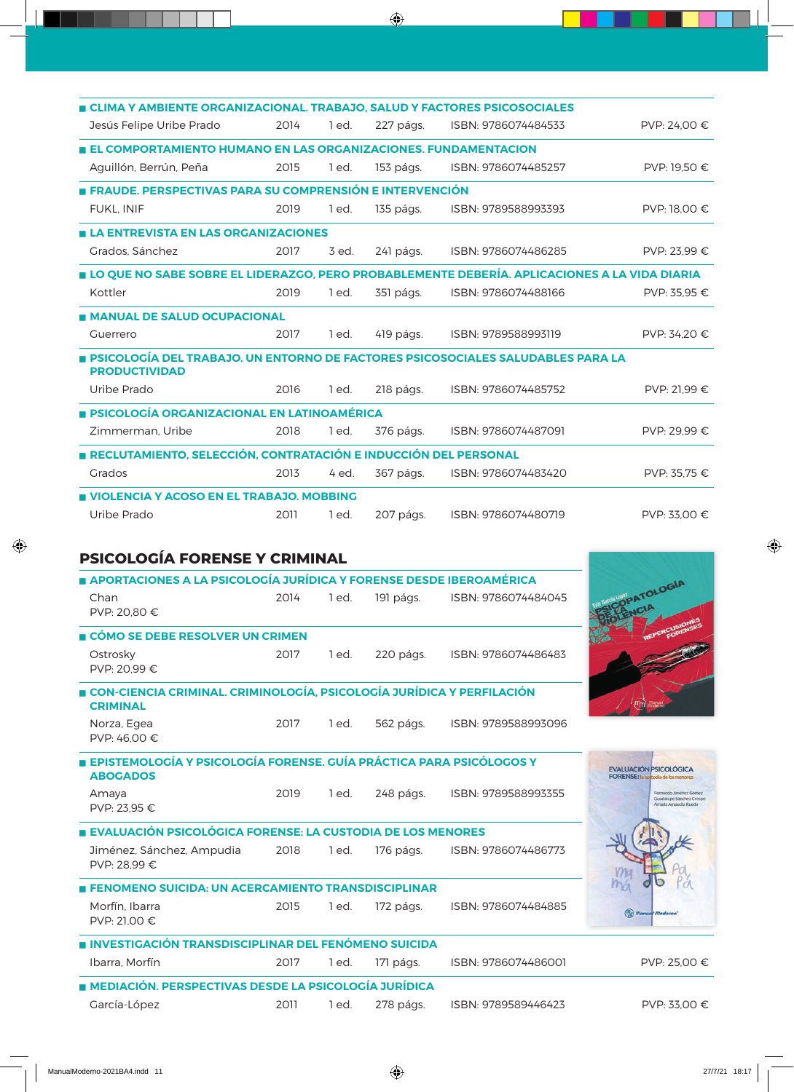| CLIMA Y AMBIENTE ORGANIZACIONAL. TRABAJO, SALUD Y FACTORES PSICOSOCIALES                                |      |         |           |                     |              |
|---------------------------------------------------------------------------------------------------------|------|---------|-----------|---------------------|--------------|
| Jesús Felipe Uribe Prado                                                                                | 2014 | 1 ed.   | 227 págs. | ISBN: 9786074484533 | PVP: 24,00 € |
| EL COMPORTAMIENTO HUMANO EN LAS ORGANIZACIONES. FUNDAMENTACION                                          |      |         |           |                     |              |
| Aguillón, Berrún, Peña                                                                                  | 2015 | 1 ed.   | 153 págs. | ISBN: 9786074485257 | PVP: 19,50 € |
| FRAUDE. PERSPECTIVAS PARA SU COMPRENSIÓN E INTERVENCIÓN                                                 |      |         |           |                     |              |
| <b>FUKL. INIF</b>                                                                                       | 2019 | 1 ed.   | 135 págs. | ISBN: 9789588993393 | PVP: 18,00 € |
| <b>E LA ENTREVISTA EN LAS ORGANIZACIONES</b>                                                            |      |         |           |                     |              |
| Grados, Sánchez                                                                                         | 2017 | 3 ed.   | 241 págs. | ISBN: 9786074486285 | PVP: 23.99 € |
| LO QUE NO SABE SOBRE EL LIDERAZGO, PERO PROBABLEMENTE DEBERÍA. APLICACIONES A LA VIDA DIARIA            |      |         |           |                     |              |
| Kottler                                                                                                 | 2019 | 1 ed.   | 351 págs. | ISBN: 9786074488166 | PVP: 35.95 € |
| <b>MANUAL DE SALUD OCUPACIONAL</b>                                                                      |      |         |           |                     |              |
| Guerrero                                                                                                | 2017 | 1 ed.   | 419 págs. | ISBN: 9789588993119 | PVP: 34,20 € |
| PSICOLOGÍA DEL TRABAJO. UN ENTORNO DE FACTORES PSICOSOCIALES SALUDABLES PARA LA<br><b>PRODUCTIVIDAD</b> |      |         |           |                     |              |
| Uribe Prado                                                                                             | 2016 | 1 ed.   | 218 págs. | ISBN: 9786074485752 | PVP: 21.99 € |
| <b>E PSICOLOGÍA ORGANIZACIONAL EN LATINOAMÉRICA</b>                                                     |      |         |           |                     |              |
| Zimmerman, Uribe                                                                                        | 2018 | $1$ ed. | 376 págs. | ISBN: 9786074487091 | PVP: 29.99 € |
| <b>RECLUTAMIENTO, SELECCIÓN, CONTRATACIÓN E INDUCCIÓN DEL PERSONAL</b>                                  |      |         |           |                     |              |
| Grados                                                                                                  | 2013 | 4 ed.   | 367 págs. | ISBN: 9786074483420 | PVP: 35.75 € |
| VIOLENCIA Y ACOSO EN EL TRABAJO. MOBBING                                                                |      |         |           |                     |              |
| Uribe Prado                                                                                             | 2011 | 1 ed.   | 207 págs. | ISBN: 9786074480719 | PVP: 33,00 € |
|                                                                                                         |      |         |           |                     |              |
| <b>PSICOLOGÍA FORENSE Y CRIMINAL</b>                                                                    |      |         |           |                     |              |
| APORTACIONES A LA PSICOLOGÍA JURÍDICA Y FORENSE DESDE IBEROAMÉRICA                                      |      |         |           |                     | <b>OGIA</b>  |
|                                                                                                         |      |         |           |                     |              |

| Chan<br>PVP: 20.80 €                                                                     | 2014 | 1 ed. | 191 págs. | ISBN: 9786074484045 | TOLU                                                                        |
|------------------------------------------------------------------------------------------|------|-------|-----------|---------------------|-----------------------------------------------------------------------------|
| ■ CÓMO SE DEBE RESOLVER UN CRIMEN                                                        |      |       |           |                     |                                                                             |
| Ostrosky<br>PVP: 20.99 €                                                                 | 2017 | 1 ed. | 220 págs. | ISBN: 9786074486483 |                                                                             |
| CON-CIENCIA CRIMINAL. CRIMINOLOGÍA, PSICOLOGÍA JURÍDICA Y PERFILACIÓN<br><b>CRIMINAL</b> |      |       |           |                     |                                                                             |
| Norza, Egea<br>PVP: 46,00 €                                                              | 2017 | 1 ed. | 562 págs. | ISBN: 9789588993096 |                                                                             |
| EPISTEMOLOGÍA Y PSICOLOGÍA FORENSE. GUÍA PRÁCTICA PARA PSICÓLOGOS Y<br><b>ABOGADOS</b>   |      |       |           |                     | <b>EVALUACIÓN PSICOLÓGICA</b><br><b>FORENSE:</b> la cuitodia de los menores |
| Amaya<br>PVP: 23,95 €                                                                    | 2019 | 1 ed. | 248 págs. | ISBN: 9789588993355 | Fernando Jiménez Gómez<br>Guadalupe Sánchez Crespo<br>Amada Ampudia Rueda   |
| EVALUACIÓN PSICOLÓGICA FORENSE: LA CUSTODIA DE LOS MENORES                               |      |       |           |                     |                                                                             |
| Jiménez, Sánchez, Ampudia<br>PVP: 28.99 €                                                | 2018 | 1 ed. | 176 págs. | ISBN: 9786074486773 |                                                                             |
| <b>FENOMENO SUICIDA: UN ACERCAMIENTO TRANSDISCIPLINAR</b>                                |      |       |           |                     |                                                                             |
| Morfín, Ibarra<br>PVP: 21.00 €                                                           | 2015 | 1 ed. | 172 págs. | ISBN: 9786074484885 | <sup>In</sup> <sub>m</sub> ) <i>Manual</i> Moderno                          |
| <b>INVESTIGACIÓN TRANSDISCIPLINAR DEL FENÓMENO SUICIDA</b>                               |      |       |           |                     |                                                                             |
| Ibarra, Morfín                                                                           | 2017 | 1 ed. | 171 págs. | ISBN: 9786074486001 | PVP: 25,00 €                                                                |
| <b>A MEDIACIÓN, PERSPECTIVAS DESDE LA PSICOLOGÍA JURÍDICA</b>                            |      |       |           |                     |                                                                             |
| García-López                                                                             | 2011 | 1 ed. | 278 págs. | ISBN: 9789589446423 | PVP: 33.00 €                                                                |